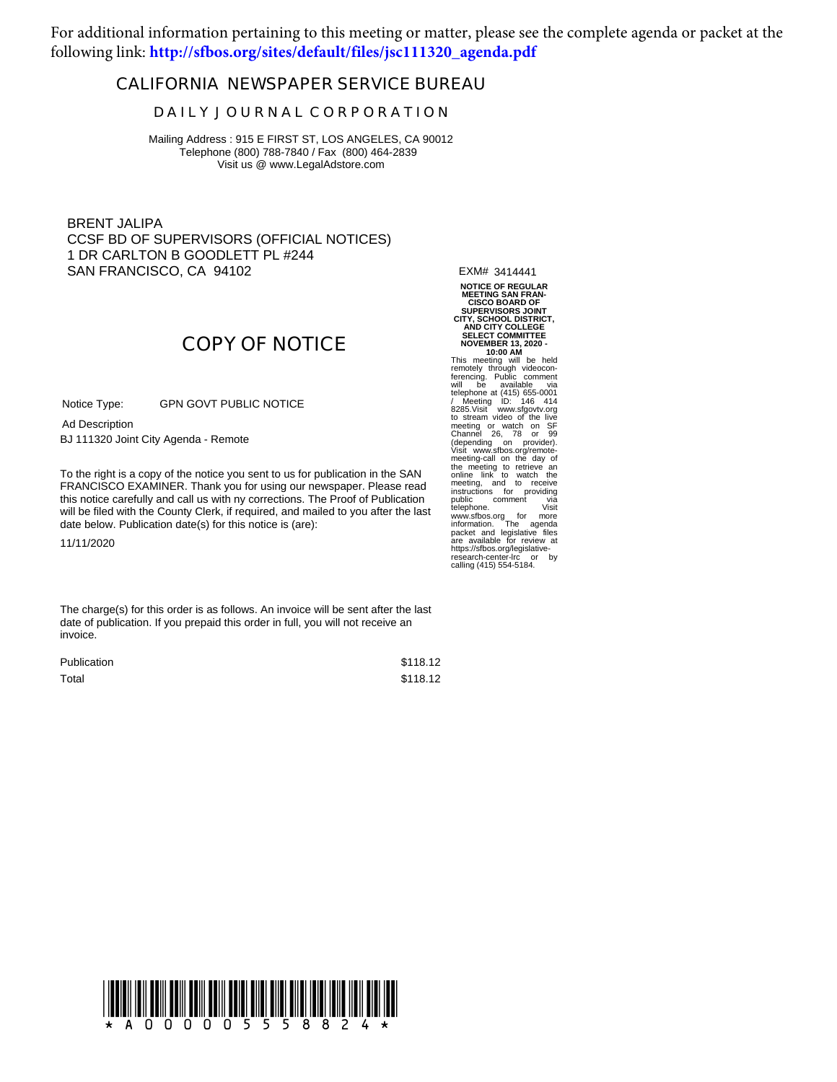For additional information pertaining to this meeting or matter, please see the complete agenda or packet at the following link: **[http://sfbos.org/sites/default/files/jsc111320\\_agenda.pdf](https://sfbos.org/sites/default/files/jsc111320_agenda.pdf)**

## **CALIFORNIA NEWSPAPER SERVICE BUREAU**

## **D A I L Y J O U R N A L C O R P O R A T I O N**

Mailing Address : 915 E FIRST ST, LOS ANGELES, CA 90012 Telephone (800) 788-7840 / Fax (800) 464-2839 Visit us @ www.LegalAdstore.com

BRENT JALIPA CCSF BD OF SUPERVISORS (OFFICIAL NOTICES) 1 DR CARLTON B GOODLETT PL #244 SAN FRANCISCO, CA 94102

EXM# 3414441 **NOTICE OF REGULAR MEETING SAN FRAN-**

**COPY OF NOTICE**

GPN GOVT PUBLIC NOTICE Notice Type:

BJ 111320 Joint City Agenda - Remote Ad Description

FRANCISCO EXAMINER. Thank you for using our newspaper. Please read<br>this notice carefully and call us with ny corrections. The Proof of Publication To the right is a copy of the notice you sent to us for publication in the SAN FRANCISCO EXAMINER. Thank you for using our newspaper. Please read will be filed with the County Clerk, if required, and mailed to you after the last date below. Publication date(s) for this notice is (are):

11/11/2020

The charge(s) for this order is as follows. An invoice will be sent after the last date of publication. If you prepaid this order in full, you will not receive an invoice.

| Publication | \$118.12 |
|-------------|----------|
| Total       | \$118.12 |

**CISCO BOARD OF SUPERVISORS JOINT CITY, SCHOOL DISTRICT, AND CITY COLLEGE SELECT COMMITTEE NOVEMBER 13, 2020 - 10:00 AM** This meeting will be held<br>remotely through videocon-<br>ferencing. Public comment<br>will be available via<br>telephone at (415) 655-0001<br>/ Meeting ID: 146 414<br>20285.<br>Via test via the live<br>to stream video of the live<br>meeting or wat (depending on provider). Visit www.sfbos.org/remote-meeting-call on the day of the meeting to retrieve an<br>online link to watch the<br>meeting, and to receive<br>instructions for providing<br>public comment via<br>telephone. Visit www.sfbos.org for more information. The agenda packet and legislative files are available for review at https://sfbos.org/legislative-research-center-lrc or by calling (415) 554-5184.